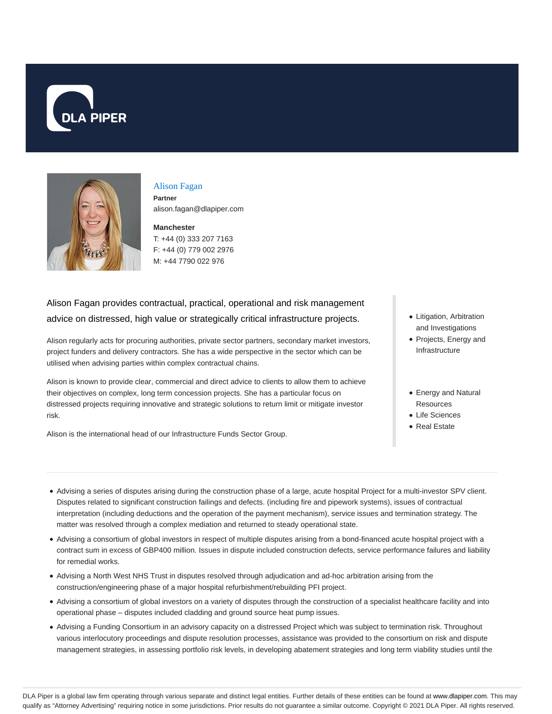



#### Alison Fagan **Partner**

alison.fagan@dlapiper.com

**Manchester** T: +44 (0) 333 207 7163 F: +44 (0) 779 002 2976 M: +44 7790 022 976

# Alison Fagan provides contractual, practical, operational and risk management advice on distressed, high value or strategically critical infrastructure projects.

Alison regularly acts for procuring authorities, private sector partners, secondary market investors, project funders and delivery contractors. She has a wide perspective in the sector which can be utilised when advising parties within complex contractual chains.

Alison is known to provide clear, commercial and direct advice to clients to allow them to achieve their objectives on complex, long term concession projects. She has a particular focus on distressed projects requiring innovative and strategic solutions to return limit or mitigate investor risk.

Alison is the international head of our Infrastructure Funds Sector Group.

- Litigation, Arbitration and Investigations
- Projects, Energy and Infrastructure
- Energy and Natural Resources
- Life Sciences
- Real Estate
- Advising a series of disputes arising during the construction phase of a large, acute hospital Project for a multi-investor SPV client. Disputes related to significant construction failings and defects. (including fire and pipework systems), issues of contractual interpretation (including deductions and the operation of the payment mechanism), service issues and termination strategy. The matter was resolved through a complex mediation and returned to steady operational state.
- Advising a consortium of global investors in respect of multiple disputes arising from a bond-financed acute hospital project with a contract sum in excess of GBP400 million. Issues in dispute included construction defects, service performance failures and liability for remedial works.
- Advising a North West NHS Trust in disputes resolved through adjudication and ad-hoc arbitration arising from the construction/engineering phase of a major hospital refurbishment/rebuilding PFI project.
- Advising a consortium of global investors on a variety of disputes through the construction of a specialist healthcare facility and into operational phase – disputes included cladding and ground source heat pump issues.
- Advising a Funding Consortium in an advisory capacity on a distressed Project which was subject to termination risk. Throughout various interlocutory proceedings and dispute resolution processes, assistance was provided to the consortium on risk and dispute management strategies, in assessing portfolio risk levels, in developing abatement strategies and long term viability studies until the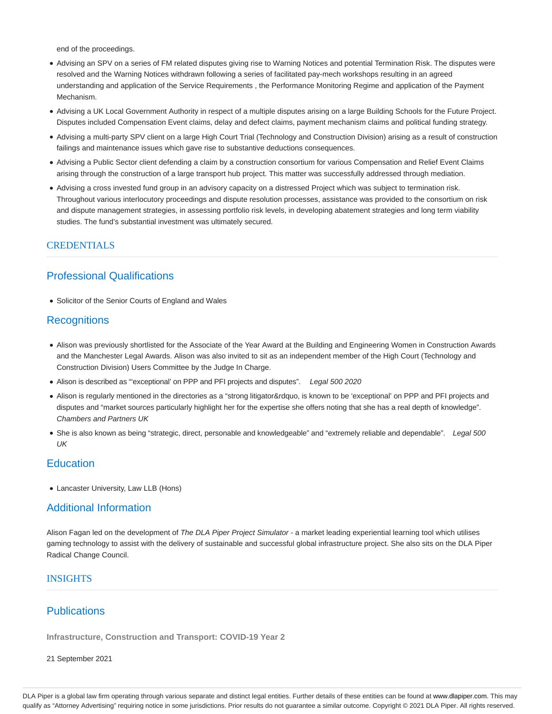end of the proceedings.

- Advising an SPV on a series of FM related disputes giving rise to Warning Notices and potential Termination Risk. The disputes were resolved and the Warning Notices withdrawn following a series of facilitated pay-mech workshops resulting in an agreed understanding and application of the Service Requirements , the Performance Monitoring Regime and application of the Payment Mechanism.
- Advising a UK Local Government Authority in respect of a multiple disputes arising on a large Building Schools for the Future Project. Disputes included Compensation Event claims, delay and defect claims, payment mechanism claims and political funding strategy.
- Advising a multi-party SPV client on a large High Court Trial (Technology and Construction Division) arising as a result of construction failings and maintenance issues which gave rise to substantive deductions consequences.
- Advising a Public Sector client defending a claim by a construction consortium for various Compensation and Relief Event Claims arising through the construction of a large transport hub project. This matter was successfully addressed through mediation.
- Advising a cross invested fund group in an advisory capacity on a distressed Project which was subject to termination risk. Throughout various interlocutory proceedings and dispute resolution processes, assistance was provided to the consortium on risk and dispute management strategies, in assessing portfolio risk levels, in developing abatement strategies and long term viability studies. The fund's substantial investment was ultimately secured.

### CREDENTIALS

# Professional Qualifications

• Solicitor of the Senior Courts of England and Wales

### **Recognitions**

- Alison was previously shortlisted for the Associate of the Year Award at the Building and Engineering Women in Construction Awards and the Manchester Legal Awards. Alison was also invited to sit as an independent member of the High Court (Technology and Construction Division) Users Committee by the Judge In Charge.
- Alison is described as "exceptional' on PPP and PFI projects and disputes". Legal 500 2020
- Alison is regularly mentioned in the directories as a "strong litigator&rdquo, is known to be 'exceptional' on PPP and PFI projects and disputes and "market sources particularly highlight her for the expertise she offers noting that she has a real depth of knowledge". Chambers and Partners UK
- She is also known as being "strategic, direct, personable and knowledgeable" and "extremely reliable and dependable". Legal 500 UK

## **Education**

Lancaster University, Law LLB (Hons)

### Additional Information

Alison Fagan led on the development of The DLA Piper Project Simulator - a market leading experiential learning tool which utilises gaming technology to assist with the delivery of sustainable and successful global infrastructure project. She also sits on the DLA Piper Radical Change Council.

#### **INSIGHTS**

# **Publications**

**Infrastructure, Construction and Transport: COVID-19 Year 2**

21 September 2021